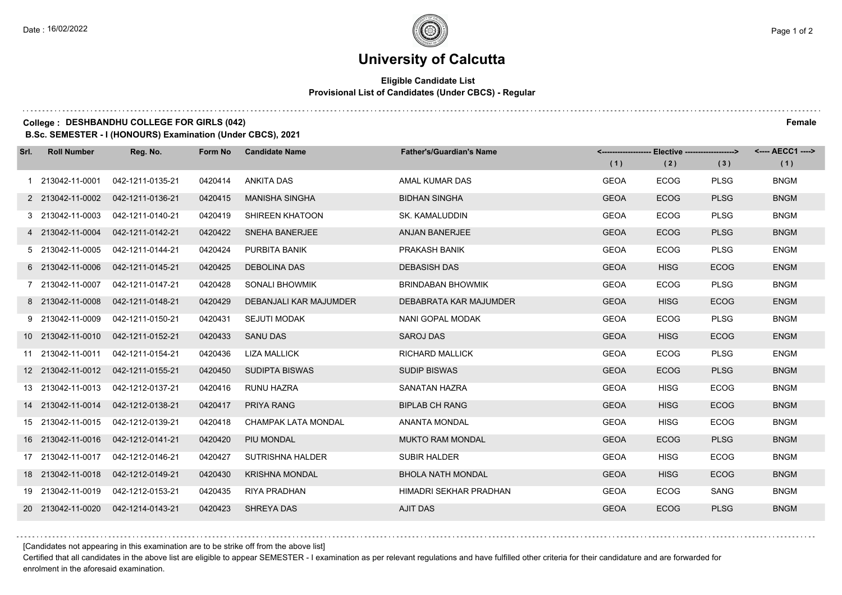## **University of Calcutta**

### **Eligible Candidate List Provisional List of Candidates (Under CBCS) - Regular**

## **College : DESHBANDHU COLLEGE FOR GIRLS (042) Female**

**B.Sc. SEMESTER - I (HONOURS) Examination (Under CBCS), 2021**

| Srl. | <b>Roll Number</b> | Reg. No.         | Form No | <b>Candidate Name</b>      | <b>Father's/Guardian's Name</b> | (1)         | <------------------- Elective -------------------><br>(2) | (3)         | <---- AECC1 ----><br>(1) |
|------|--------------------|------------------|---------|----------------------------|---------------------------------|-------------|-----------------------------------------------------------|-------------|--------------------------|
|      | 1 213042-11-0001   | 042-1211-0135-21 | 0420414 | ANKITA DAS                 | AMAL KUMAR DAS                  | <b>GEOA</b> | <b>ECOG</b>                                               | <b>PLSG</b> | <b>BNGM</b>              |
|      | 2 213042-11-0002   | 042-1211-0136-21 | 0420415 | <b>MANISHA SINGHA</b>      | <b>BIDHAN SINGHA</b>            | <b>GEOA</b> | <b>ECOG</b>                                               | <b>PLSG</b> | <b>BNGM</b>              |
|      | 3 213042-11-0003   | 042-1211-0140-21 | 0420419 | SHIREEN KHATOON            | <b>SK. KAMALUDDIN</b>           | <b>GEOA</b> | <b>ECOG</b>                                               | <b>PLSG</b> | <b>BNGM</b>              |
|      | 4 213042-11-0004   | 042-1211-0142-21 | 0420422 | <b>SNEHA BANERJEE</b>      | <b>ANJAN BANERJEE</b>           | <b>GEOA</b> | <b>ECOG</b>                                               | <b>PLSG</b> | <b>BNGM</b>              |
|      | 5 213042-11-0005   | 042-1211-0144-21 | 0420424 | PURBITA BANIK              | PRAKASH BANIK                   | <b>GEOA</b> | <b>ECOG</b>                                               | <b>PLSG</b> | <b>ENGM</b>              |
|      | 6 213042-11-0006   | 042-1211-0145-21 | 0420425 | <b>DEBOLINA DAS</b>        | <b>DEBASISH DAS</b>             | <b>GEOA</b> | <b>HISG</b>                                               | ECOG        | <b>ENGM</b>              |
|      | 7 213042-11-0007   | 042-1211-0147-21 | 0420428 | SONALI BHOWMIK             | <b>BRINDABAN BHOWMIK</b>        | <b>GEOA</b> | <b>ECOG</b>                                               | <b>PLSG</b> | <b>BNGM</b>              |
|      | 8 213042-11-0008   | 042-1211-0148-21 | 0420429 | DEBANJALI KAR MAJUMDER     | DEBABRATA KAR MAJUMDER          | <b>GEOA</b> | <b>HISG</b>                                               | <b>ECOG</b> | <b>ENGM</b>              |
|      | 9 213042-11-0009   | 042-1211-0150-21 | 0420431 | SEJUTI MODAK               | NANI GOPAL MODAK                | <b>GEOA</b> | <b>ECOG</b>                                               | <b>PLSG</b> | <b>BNGM</b>              |
|      | 10 213042-11-0010  | 042-1211-0152-21 | 0420433 | <b>SANU DAS</b>            | <b>SAROJ DAS</b>                | <b>GEOA</b> | <b>HISG</b>                                               | <b>ECOG</b> | <b>ENGM</b>              |
|      | 11 213042-11-0011  | 042-1211-0154-21 | 0420436 | <b>LIZA MALLICK</b>        | <b>RICHARD MALLICK</b>          | <b>GEOA</b> | <b>ECOG</b>                                               | <b>PLSG</b> | <b>ENGM</b>              |
|      | 12 213042-11-0012  | 042-1211-0155-21 | 0420450 | SUDIPTA BISWAS             | <b>SUDIP BISWAS</b>             | <b>GEOA</b> | <b>ECOG</b>                                               | <b>PLSG</b> | <b>BNGM</b>              |
|      | 13 213042-11-0013  | 042-1212-0137-21 | 0420416 | <b>RUNU HAZRA</b>          | <b>SANATAN HAZRA</b>            | <b>GEOA</b> | <b>HISG</b>                                               | <b>ECOG</b> | <b>BNGM</b>              |
|      | 14 213042-11-0014  | 042-1212-0138-21 | 0420417 | <b>PRIYA RANG</b>          | <b>BIPLAB CH RANG</b>           | <b>GEOA</b> | <b>HISG</b>                                               | <b>ECOG</b> | <b>BNGM</b>              |
|      | 15 213042-11-0015  | 042-1212-0139-21 | 0420418 | <b>CHAMPAK LATA MONDAL</b> | ANANTA MONDAL                   | <b>GEOA</b> | <b>HISG</b>                                               | <b>ECOG</b> | <b>BNGM</b>              |
|      | 16 213042-11-0016  | 042-1212-0141-21 | 0420420 | PIU MONDAL                 | <b>MUKTO RAM MONDAL</b>         | <b>GEOA</b> | <b>ECOG</b>                                               | <b>PLSG</b> | <b>BNGM</b>              |
|      | 17 213042-11-0017  | 042-1212-0146-21 | 0420427 | <b>SUTRISHNA HALDER</b>    | <b>SUBIR HALDER</b>             | <b>GEOA</b> | <b>HISG</b>                                               | <b>ECOG</b> | <b>BNGM</b>              |
|      | 18 213042-11-0018  | 042-1212-0149-21 | 0420430 | <b>KRISHNA MONDAL</b>      | <b>BHOLA NATH MONDAL</b>        | <b>GEOA</b> | <b>HISG</b>                                               | <b>ECOG</b> | <b>BNGM</b>              |
|      | 19 213042-11-0019  | 042-1212-0153-21 | 0420435 | <b>RIYA PRADHAN</b>        | HIMADRI SEKHAR PRADHAN          | <b>GEOA</b> | <b>ECOG</b>                                               | <b>SANG</b> | <b>BNGM</b>              |
|      | 20 213042-11-0020  | 042-1214-0143-21 | 0420423 | <b>SHREYA DAS</b>          | <b>AJIT DAS</b>                 | <b>GEOA</b> | <b>ECOG</b>                                               | <b>PLSG</b> | <b>BNGM</b>              |

[Candidates not appearing in this examination are to be strike off from the above list]

Certified that all candidates in the above list are eligible to appear SEMESTER - I examination as per relevant regulations and have fulfilled other criteria for their candidature and are forwarded for enrolment in the aforesaid examination.

. . . . . . . . . .